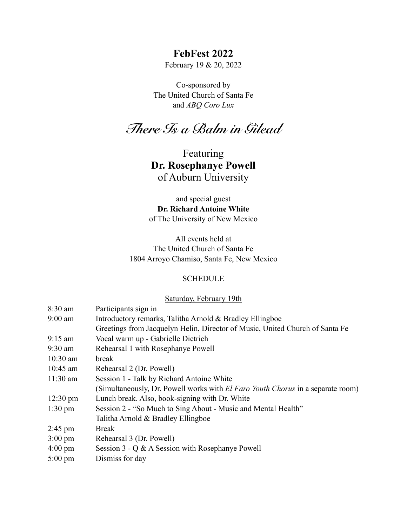## **FebFest 2022**

February 19 & 20, 2022

Co-sponsored by The United Church of Santa Fe and *ABQ Coro Lux*

*There Is a Balm in Gilead*

Featuring **Dr. Rosephanye Powell**  of Auburn University

and special guest **Dr. Richard Antoine White**  of The University of New Mexico

All events held at The United Church of Santa Fe 1804 Arroyo Chamiso, Santa Fe, New Mexico

#### **SCHEDULE**

### Saturday, February 19th

| $8:30$ am          | Participants sign in                                                                   |
|--------------------|----------------------------------------------------------------------------------------|
| $9:00$ am          | Introductory remarks, Talitha Arnold & Bradley Ellingboe                               |
|                    | Greetings from Jacquelyn Helin, Director of Music, United Church of Santa Fe           |
| $9:15$ am          | Vocal warm up - Gabrielle Dietrich                                                     |
| $9:30$ am          | Rehearsal 1 with Rosephanye Powell                                                     |
| $10:30$ am         | break                                                                                  |
| $10:45$ am         | Rehearsal 2 (Dr. Powell)                                                               |
| $11:30$ am         | Session 1 - Talk by Richard Antoine White                                              |
|                    | (Simultaneously, Dr. Powell works with <i>El Faro Youth Chorus</i> in a separate room) |
| $12:30 \text{ pm}$ | Lunch break. Also, book-signing with Dr. White                                         |
| $1:30 \text{ pm}$  | Session 2 - "So Much to Sing About - Music and Mental Health"                          |
|                    | Talitha Arnold & Bradley Ellingboe                                                     |
| $2:45 \text{ pm}$  | <b>Break</b>                                                                           |
| $3:00 \text{ pm}$  | Rehearsal 3 (Dr. Powell)                                                               |
| $4:00 \text{ pm}$  | Session $3 - Q \& A$ Session with Rosephanye Powell                                    |
| $5:00 \text{ pm}$  | Dismiss for day                                                                        |